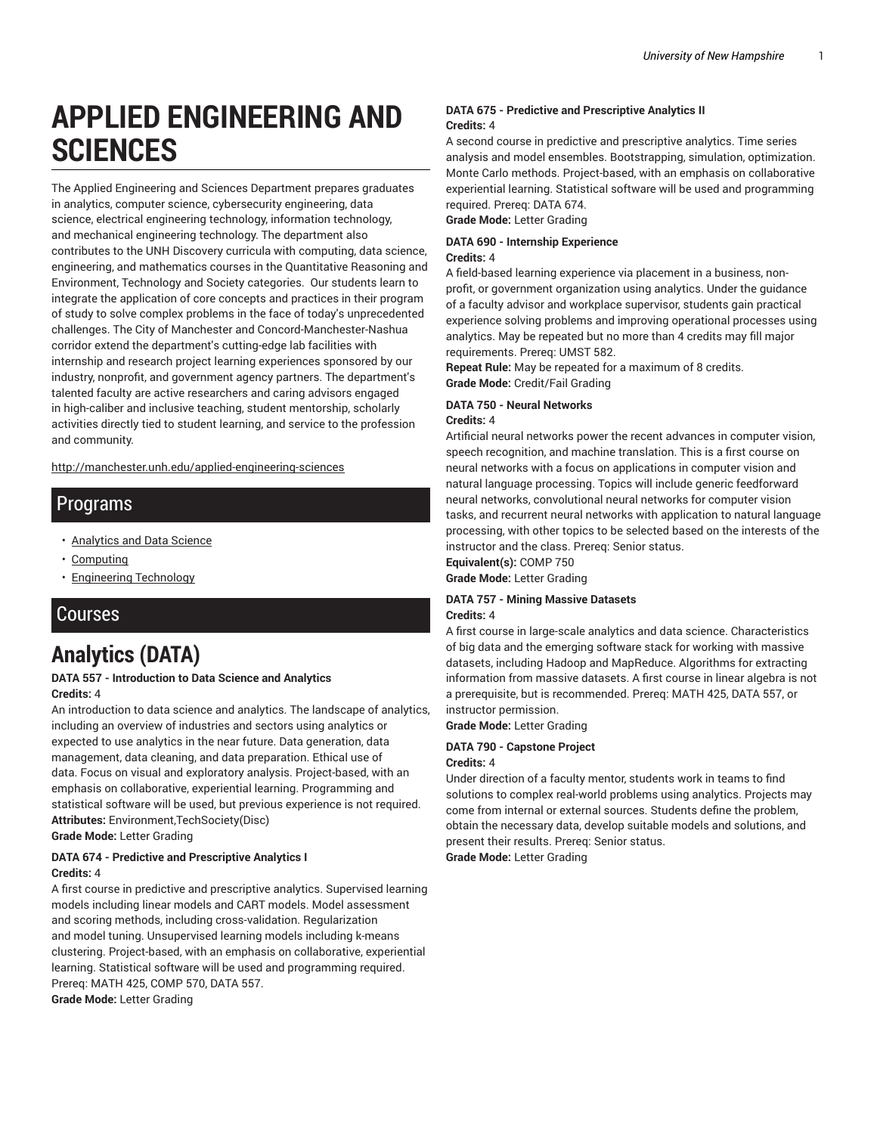# **APPLIED ENGINEERING AND SCIENCES**

The Applied Engineering and Sciences Department prepares graduates in analytics, computer science, cybersecurity engineering, data science, electrical engineering technology, information technology, and mechanical engineering technology. The department also contributes to the UNH Discovery curricula with computing, data science, engineering, and mathematics courses in the Quantitative Reasoning and Environment, Technology and Society categories. Our students learn to integrate the application of core concepts and practices in their program of study to solve complex problems in the face of today's unprecedented challenges. The City of Manchester and Concord-Manchester-Nashua corridor extend the department's cutting-edge lab facilities with internship and research project learning experiences sponsored by our industry, nonprofit, and government agency partners. The department's talented faculty are active researchers and caring advisors engaged in high-caliber and inclusive teaching, student mentorship, scholarly activities directly tied to student learning, and service to the profession and community.

[http://manchester.unh.edu/applied-engineering-sciences](http://manchester.unh.edu/applied-engineering-sciences/)

### Programs

- [Analytics and Data Science](http://catalog.unh.edu/undergraduate/manchester/programs-study/analytics-data-science/)
- [Computing](http://catalog.unh.edu/undergraduate/manchester/programs-study/computing/)
- [Engineering](http://catalog.unh.edu/undergraduate/manchester/programs-study/engineering-technology/) Technology

### Courses

# **Analytics (DATA)**

#### **DATA 557 - Introduction to Data Science and Analytics Credits:** 4

An introduction to data science and analytics. The landscape of analytics, including an overview of industries and sectors using analytics or expected to use analytics in the near future. Data generation, data management, data cleaning, and data preparation. Ethical use of data. Focus on visual and exploratory analysis. Project-based, with an emphasis on collaborative, experiential learning. Programming and statistical software will be used, but previous experience is not required. **Attributes:** Environment,TechSociety(Disc) **Grade Mode:** Letter Grading

#### **DATA 674 - Predictive and Prescriptive Analytics I Credits:** 4

A first course in predictive and prescriptive analytics. Supervised learning models including linear models and CART models. Model assessment and scoring methods, including cross-validation. Regularization and model tuning. Unsupervised learning models including k-means clustering. Project-based, with an emphasis on collaborative, experiential learning. Statistical software will be used and programming required. Prereq: MATH 425, COMP 570, DATA 557. **Grade Mode:** Letter Grading

#### **DATA 675 - Predictive and Prescriptive Analytics II Credits:** 4

A second course in predictive and prescriptive analytics. Time series analysis and model ensembles. Bootstrapping, simulation, optimization. Monte Carlo methods. Project-based, with an emphasis on collaborative experiential learning. Statistical software will be used and programming required. Prereq: DATA 674.

**Grade Mode:** Letter Grading

#### **DATA 690 - Internship Experience**

#### **Credits:** 4

A field-based learning experience via placement in a business, nonprofit, or government organization using analytics. Under the guidance of a faculty advisor and workplace supervisor, students gain practical experience solving problems and improving operational processes using analytics. May be repeated but no more than 4 credits may fill major requirements. Prereq: UMST 582.

**Repeat Rule:** May be repeated for a maximum of 8 credits. **Grade Mode:** Credit/Fail Grading

#### **DATA 750 - Neural Networks**

#### **Credits:** 4

Artificial neural networks power the recent advances in computer vision, speech recognition, and machine translation. This is a first course on neural networks with a focus on applications in computer vision and natural language processing. Topics will include generic feedforward neural networks, convolutional neural networks for computer vision tasks, and recurrent neural networks with application to natural language processing, with other topics to be selected based on the interests of the instructor and the class. Prereq: Senior status.

**Equivalent(s):** COMP 750

**Grade Mode:** Letter Grading

#### **DATA 757 - Mining Massive Datasets**

#### **Credits:** 4

A first course in large-scale analytics and data science. Characteristics of big data and the emerging software stack for working with massive datasets, including Hadoop and MapReduce. Algorithms for extracting information from massive datasets. A first course in linear algebra is not a prerequisite, but is recommended. Prereq: MATH 425, DATA 557, or instructor permission.

**Grade Mode:** Letter Grading

#### **DATA 790 - Capstone Project Credits:** 4

Under direction of a faculty mentor, students work in teams to find solutions to complex real-world problems using analytics. Projects may come from internal or external sources. Students define the problem, obtain the necessary data, develop suitable models and solutions, and present their results. Prereq: Senior status. **Grade Mode:** Letter Grading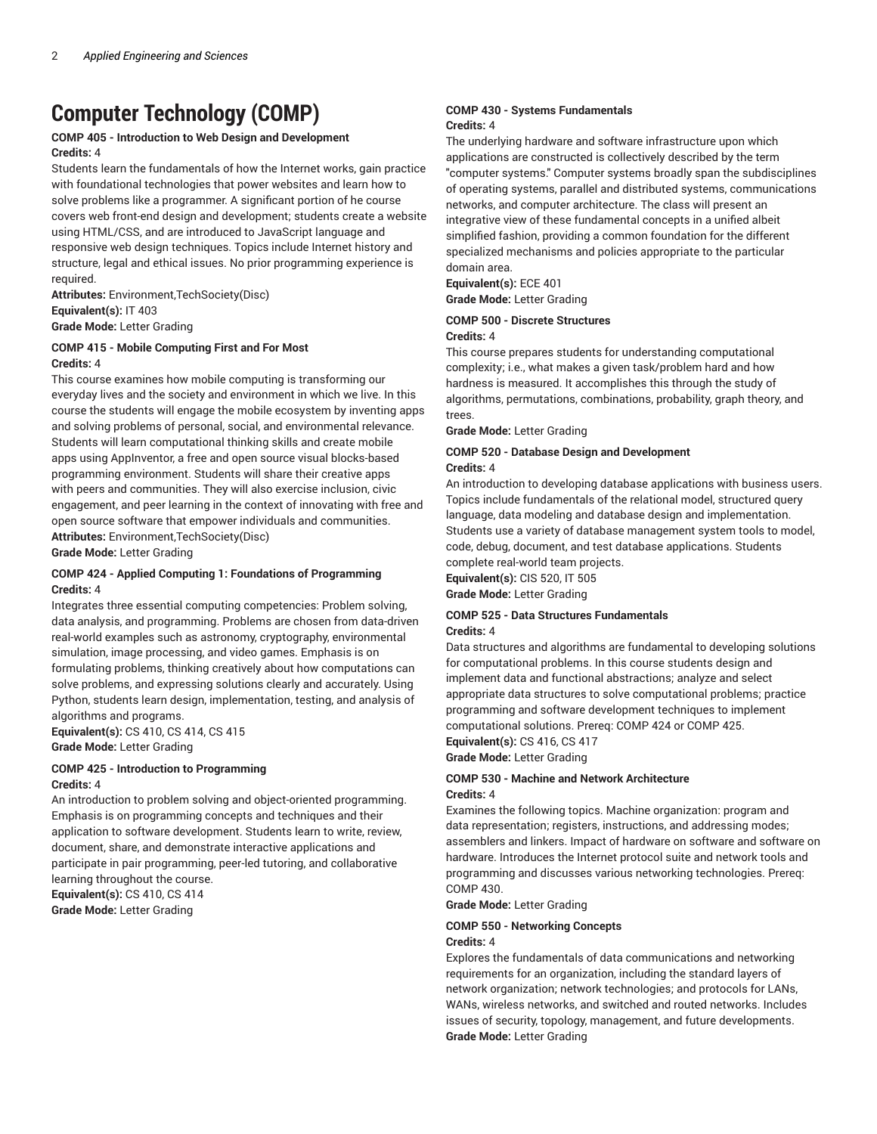# **Computer Technology (COMP)**

#### **COMP 405 - Introduction to Web Design and Development Credits:** 4

Students learn the fundamentals of how the Internet works, gain practice with foundational technologies that power websites and learn how to solve problems like a programmer. A significant portion of he course covers web front-end design and development; students create a website using HTML/CSS, and are introduced to JavaScript language and responsive web design techniques. Topics include Internet history and structure, legal and ethical issues. No prior programming experience is required.

**Attributes:** Environment,TechSociety(Disc) **Equivalent(s):** IT 403 **Grade Mode:** Letter Grading

#### **COMP 415 - Mobile Computing First and For Most Credits:** 4

This course examines how mobile computing is transforming our everyday lives and the society and environment in which we live. In this course the students will engage the mobile ecosystem by inventing apps and solving problems of personal, social, and environmental relevance. Students will learn computational thinking skills and create mobile apps using AppInventor, a free and open source visual blocks-based programming environment. Students will share their creative apps with peers and communities. They will also exercise inclusion, civic engagement, and peer learning in the context of innovating with free and open source software that empower individuals and communities. **Attributes:** Environment,TechSociety(Disc)

**Grade Mode:** Letter Grading

#### **COMP 424 - Applied Computing 1: Foundations of Programming Credits:** 4

Integrates three essential computing competencies: Problem solving, data analysis, and programming. Problems are chosen from data-driven real-world examples such as astronomy, cryptography, environmental simulation, image processing, and video games. Emphasis is on formulating problems, thinking creatively about how computations can solve problems, and expressing solutions clearly and accurately. Using Python, students learn design, implementation, testing, and analysis of algorithms and programs.

**Equivalent(s):** CS 410, CS 414, CS 415 **Grade Mode:** Letter Grading

#### **COMP 425 - Introduction to Programming Credits:** 4

An introduction to problem solving and object-oriented programming. Emphasis is on programming concepts and techniques and their application to software development. Students learn to write, review, document, share, and demonstrate interactive applications and participate in pair programming, peer-led tutoring, and collaborative learning throughout the course.

**Equivalent(s):** CS 410, CS 414 **Grade Mode:** Letter Grading

#### **COMP 430 - Systems Fundamentals Credits:** 4

The underlying hardware and software infrastructure upon which applications are constructed is collectively described by the term "computer systems." Computer systems broadly span the subdisciplines of operating systems, parallel and distributed systems, communications networks, and computer architecture. The class will present an integrative view of these fundamental concepts in a unified albeit simplified fashion, providing a common foundation for the different specialized mechanisms and policies appropriate to the particular domain area.

**Equivalent(s):** ECE 401 **Grade Mode:** Letter Grading

#### **COMP 500 - Discrete Structures**

#### **Credits:** 4

This course prepares students for understanding computational complexity; i.e., what makes a given task/problem hard and how hardness is measured. It accomplishes this through the study of algorithms, permutations, combinations, probability, graph theory, and trees.

**Grade Mode:** Letter Grading

#### **COMP 520 - Database Design and Development Credits:** 4

An introduction to developing database applications with business users. Topics include fundamentals of the relational model, structured query language, data modeling and database design and implementation. Students use a variety of database management system tools to model, code, debug, document, and test database applications. Students complete real-world team projects.

**Equivalent(s):** CIS 520, IT 505 **Grade Mode:** Letter Grading

#### **COMP 525 - Data Structures Fundamentals Credits:** 4

Data structures and algorithms are fundamental to developing solutions for computational problems. In this course students design and implement data and functional abstractions; analyze and select appropriate data structures to solve computational problems; practice programming and software development techniques to implement computational solutions. Prereq: COMP 424 or COMP 425.

**Equivalent(s):** CS 416, CS 417 **Grade Mode:** Letter Grading

#### **COMP 530 - Machine and Network Architecture Credits:** 4

Examines the following topics. Machine organization: program and data representation; registers, instructions, and addressing modes; assemblers and linkers. Impact of hardware on software and software on hardware. Introduces the Internet protocol suite and network tools and programming and discusses various networking technologies. Prereq: COMP 430.

**Grade Mode:** Letter Grading

#### **COMP 550 - Networking Concepts**

#### **Credits:** 4

Explores the fundamentals of data communications and networking requirements for an organization, including the standard layers of network organization; network technologies; and protocols for LANs, WANs, wireless networks, and switched and routed networks. Includes issues of security, topology, management, and future developments. **Grade Mode:** Letter Grading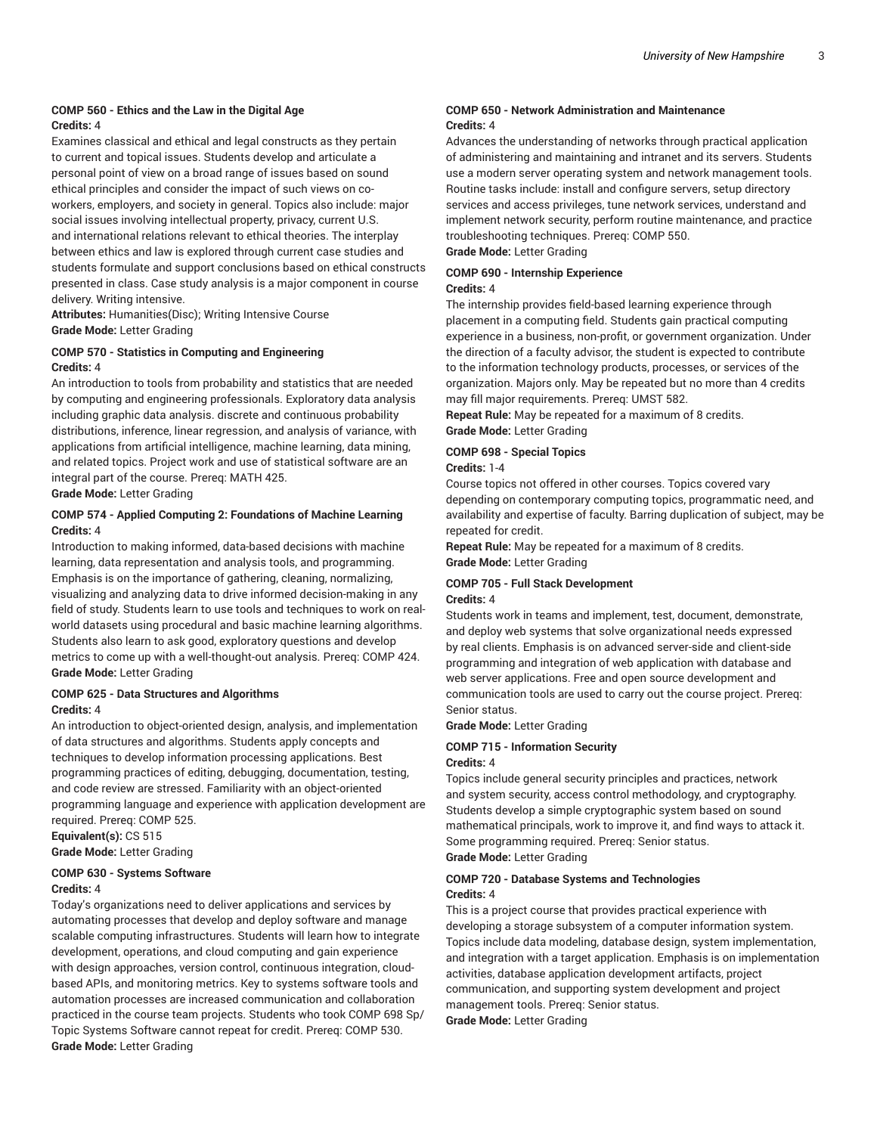#### **COMP 560 - Ethics and the Law in the Digital Age Credits:** 4

Examines classical and ethical and legal constructs as they pertain to current and topical issues. Students develop and articulate a personal point of view on a broad range of issues based on sound ethical principles and consider the impact of such views on coworkers, employers, and society in general. Topics also include: major social issues involving intellectual property, privacy, current U.S. and international relations relevant to ethical theories. The interplay between ethics and law is explored through current case studies and students formulate and support conclusions based on ethical constructs presented in class. Case study analysis is a major component in course delivery. Writing intensive.

**Attributes:** Humanities(Disc); Writing Intensive Course **Grade Mode:** Letter Grading

#### **COMP 570 - Statistics in Computing and Engineering Credits:** 4

An introduction to tools from probability and statistics that are needed by computing and engineering professionals. Exploratory data analysis including graphic data analysis. discrete and continuous probability distributions, inference, linear regression, and analysis of variance, with applications from artificial intelligence, machine learning, data mining, and related topics. Project work and use of statistical software are an integral part of the course. Prereq: MATH 425.

**Grade Mode:** Letter Grading

#### **COMP 574 - Applied Computing 2: Foundations of Machine Learning Credits:** 4

Introduction to making informed, data-based decisions with machine learning, data representation and analysis tools, and programming. Emphasis is on the importance of gathering, cleaning, normalizing, visualizing and analyzing data to drive informed decision-making in any field of study. Students learn to use tools and techniques to work on realworld datasets using procedural and basic machine learning algorithms. Students also learn to ask good, exploratory questions and develop metrics to come up with a well-thought-out analysis. Prereq: COMP 424. **Grade Mode:** Letter Grading

#### **COMP 625 - Data Structures and Algorithms Credits:** 4

An introduction to object-oriented design, analysis, and implementation of data structures and algorithms. Students apply concepts and techniques to develop information processing applications. Best programming practices of editing, debugging, documentation, testing, and code review are stressed. Familiarity with an object-oriented programming language and experience with application development are required. Prereq: COMP 525.

**Equivalent(s):** CS 515

**Grade Mode:** Letter Grading

#### **COMP 630 - Systems Software Credits:** 4

Today's organizations need to deliver applications and services by automating processes that develop and deploy software and manage scalable computing infrastructures. Students will learn how to integrate development, operations, and cloud computing and gain experience with design approaches, version control, continuous integration, cloudbased APIs, and monitoring metrics. Key to systems software tools and automation processes are increased communication and collaboration practiced in the course team projects. Students who took COMP 698 Sp/ Topic Systems Software cannot repeat for credit. Prereq: COMP 530. **Grade Mode:** Letter Grading

#### **COMP 650 - Network Administration and Maintenance Credits:** 4

Advances the understanding of networks through practical application of administering and maintaining and intranet and its servers. Students use a modern server operating system and network management tools. Routine tasks include: install and configure servers, setup directory services and access privileges, tune network services, understand and implement network security, perform routine maintenance, and practice troubleshooting techniques. Prereq: COMP 550. **Grade Mode:** Letter Grading

#### **COMP 690 - Internship Experience**

#### **Credits:** 4

The internship provides field-based learning experience through placement in a computing field. Students gain practical computing experience in a business, non-profit, or government organization. Under the direction of a faculty advisor, the student is expected to contribute to the information technology products, processes, or services of the organization. Majors only. May be repeated but no more than 4 credits may fill major requirements. Prereq: UMST 582.

**Repeat Rule:** May be repeated for a maximum of 8 credits. **Grade Mode:** Letter Grading

#### **COMP 698 - Special Topics**

#### **Credits:** 1-4

Course topics not offered in other courses. Topics covered vary depending on contemporary computing topics, programmatic need, and availability and expertise of faculty. Barring duplication of subject, may be repeated for credit.

**Repeat Rule:** May be repeated for a maximum of 8 credits. **Grade Mode:** Letter Grading

#### **COMP 705 - Full Stack Development Credits:** 4

Students work in teams and implement, test, document, demonstrate, and deploy web systems that solve organizational needs expressed by real clients. Emphasis is on advanced server-side and client-side programming and integration of web application with database and web server applications. Free and open source development and communication tools are used to carry out the course project. Prereq: Senior status.

**Grade Mode:** Letter Grading

#### **COMP 715 - Information Security Credits:** 4

Topics include general security principles and practices, network and system security, access control methodology, and cryptography. Students develop a simple cryptographic system based on sound mathematical principals, work to improve it, and find ways to attack it. Some programming required. Prereq: Senior status. **Grade Mode:** Letter Grading

#### **COMP 720 - Database Systems and Technologies Credits:** 4

This is a project course that provides practical experience with developing a storage subsystem of a computer information system. Topics include data modeling, database design, system implementation, and integration with a target application. Emphasis is on implementation activities, database application development artifacts, project communication, and supporting system development and project management tools. Prereq: Senior status. **Grade Mode:** Letter Grading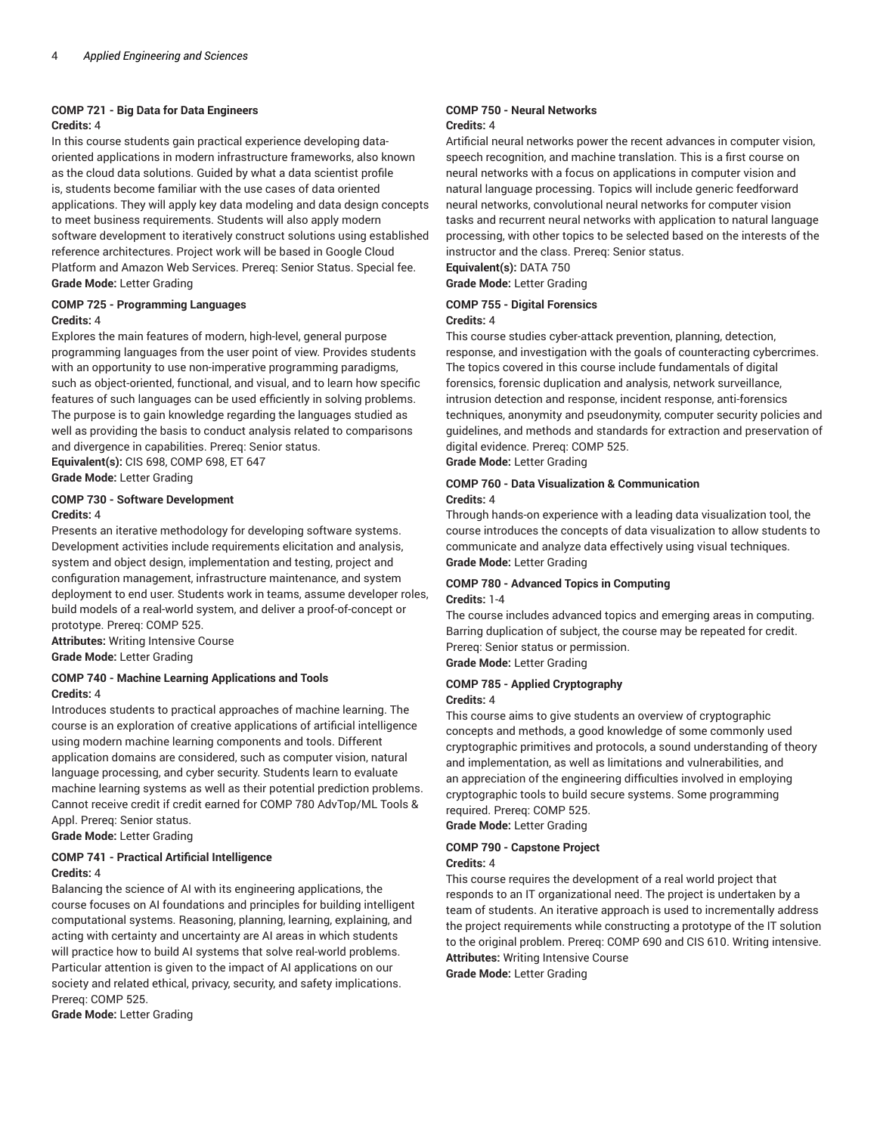#### **COMP 721 - Big Data for Data Engineers Credits:** 4

In this course students gain practical experience developing dataoriented applications in modern infrastructure frameworks, also known as the cloud data solutions. Guided by what a data scientist profile is, students become familiar with the use cases of data oriented applications. They will apply key data modeling and data design concepts to meet business requirements. Students will also apply modern software development to iteratively construct solutions using established reference architectures. Project work will be based in Google Cloud Platform and Amazon Web Services. Prereq: Senior Status. Special fee. **Grade Mode:** Letter Grading

#### **COMP 725 - Programming Languages Credits:** 4

Explores the main features of modern, high-level, general purpose programming languages from the user point of view. Provides students with an opportunity to use non-imperative programming paradigms, such as object-oriented, functional, and visual, and to learn how specific features of such languages can be used efficiently in solving problems. The purpose is to gain knowledge regarding the languages studied as well as providing the basis to conduct analysis related to comparisons and divergence in capabilities. Prereq: Senior status. **Equivalent(s):** CIS 698, COMP 698, ET 647

**Grade Mode:** Letter Grading

#### **COMP 730 - Software Development**

#### **Credits:** 4

Presents an iterative methodology for developing software systems. Development activities include requirements elicitation and analysis, system and object design, implementation and testing, project and configuration management, infrastructure maintenance, and system deployment to end user. Students work in teams, assume developer roles, build models of a real-world system, and deliver a proof-of-concept or prototype. Prereq: COMP 525.

**Attributes:** Writing Intensive Course

**Grade Mode:** Letter Grading

#### **COMP 740 - Machine Learning Applications and Tools Credits:** 4

Introduces students to practical approaches of machine learning. The course is an exploration of creative applications of artificial intelligence using modern machine learning components and tools. Different application domains are considered, such as computer vision, natural language processing, and cyber security. Students learn to evaluate machine learning systems as well as their potential prediction problems. Cannot receive credit if credit earned for COMP 780 AdvTop/ML Tools & Appl. Prereq: Senior status.

**Grade Mode:** Letter Grading

#### **COMP 741 - Practical Artificial Intelligence Credits:** 4

Balancing the science of AI with its engineering applications, the course focuses on AI foundations and principles for building intelligent computational systems. Reasoning, planning, learning, explaining, and acting with certainty and uncertainty are AI areas in which students will practice how to build AI systems that solve real-world problems. Particular attention is given to the impact of AI applications on our society and related ethical, privacy, security, and safety implications. Prereq: COMP 525.

**Grade Mode:** Letter Grading

#### **COMP 750 - Neural Networks Credits:** 4

Artificial neural networks power the recent advances in computer vision, speech recognition, and machine translation. This is a first course on neural networks with a focus on applications in computer vision and natural language processing. Topics will include generic feedforward neural networks, convolutional neural networks for computer vision tasks and recurrent neural networks with application to natural language processing, with other topics to be selected based on the interests of the instructor and the class. Prereq: Senior status.

**Equivalent(s):** DATA 750

#### **Grade Mode:** Letter Grading

#### **COMP 755 - Digital Forensics Credits:** 4

This course studies cyber-attack prevention, planning, detection, response, and investigation with the goals of counteracting cybercrimes. The topics covered in this course include fundamentals of digital forensics, forensic duplication and analysis, network surveillance, intrusion detection and response, incident response, anti-forensics techniques, anonymity and pseudonymity, computer security policies and guidelines, and methods and standards for extraction and preservation of digital evidence. Prereq: COMP 525.

**Grade Mode:** Letter Grading

#### **COMP 760 - Data Visualization & Communication Credits:** 4

Through hands-on experience with a leading data visualization tool, the course introduces the concepts of data visualization to allow students to communicate and analyze data effectively using visual techniques. **Grade Mode:** Letter Grading

#### **COMP 780 - Advanced Topics in Computing Credits:** 1-4

The course includes advanced topics and emerging areas in computing. Barring duplication of subject, the course may be repeated for credit. Prereq: Senior status or permission. **Grade Mode:** Letter Grading

#### **COMP 785 - Applied Cryptography Credits:** 4

This course aims to give students an overview of cryptographic concepts and methods, a good knowledge of some commonly used cryptographic primitives and protocols, a sound understanding of theory and implementation, as well as limitations and vulnerabilities, and an appreciation of the engineering difficulties involved in employing cryptographic tools to build secure systems. Some programming required. Prereq: COMP 525.

**Grade Mode:** Letter Grading

#### **COMP 790 - Capstone Project**

#### **Credits:** 4

This course requires the development of a real world project that responds to an IT organizational need. The project is undertaken by a team of students. An iterative approach is used to incrementally address the project requirements while constructing a prototype of the IT solution to the original problem. Prereq: COMP 690 and CIS 610. Writing intensive. **Attributes:** Writing Intensive Course

**Grade Mode:** Letter Grading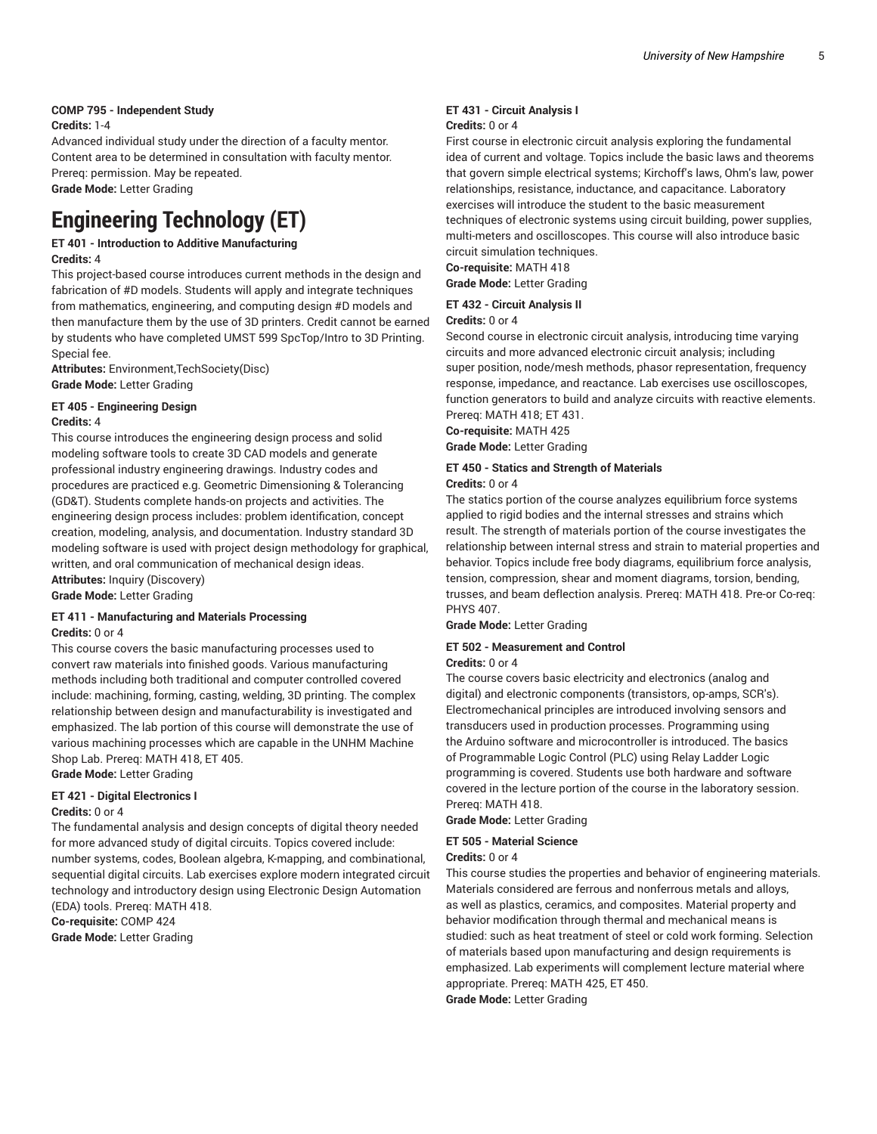#### **COMP 795 - Independent Study**

#### **Credits:** 1-4

Advanced individual study under the direction of a faculty mentor. Content area to be determined in consultation with faculty mentor. Prereq: permission. May be repeated.

**Grade Mode:** Letter Grading

# **Engineering Technology (ET)**

## **ET 401 - Introduction to Additive Manufacturing**

**Credits:** 4

This project-based course introduces current methods in the design and fabrication of #D models. Students will apply and integrate techniques from mathematics, engineering, and computing design #D models and then manufacture them by the use of 3D printers. Credit cannot be earned by students who have completed UMST 599 SpcTop/Intro to 3D Printing. Special fee.

**Attributes:** Environment,TechSociety(Disc) **Grade Mode:** Letter Grading

#### **ET 405 - Engineering Design Credits:** 4

This course introduces the engineering design process and solid modeling software tools to create 3D CAD models and generate professional industry engineering drawings. Industry codes and procedures are practiced e.g. Geometric Dimensioning & Tolerancing (GD&T). Students complete hands-on projects and activities. The engineering design process includes: problem identification, concept creation, modeling, analysis, and documentation. Industry standard 3D modeling software is used with project design methodology for graphical, written, and oral communication of mechanical design ideas. **Attributes:** Inquiry (Discovery)

**Grade Mode:** Letter Grading

#### **ET 411 - Manufacturing and Materials Processing**

#### **Credits:** 0 or 4

This course covers the basic manufacturing processes used to convert raw materials into finished goods. Various manufacturing methods including both traditional and computer controlled covered include: machining, forming, casting, welding, 3D printing. The complex relationship between design and manufacturability is investigated and emphasized. The lab portion of this course will demonstrate the use of various machining processes which are capable in the UNHM Machine Shop Lab. Prereq: MATH 418, ET 405.

**Grade Mode:** Letter Grading

### **ET 421 - Digital Electronics I**

#### **Credits:** 0 or 4

The fundamental analysis and design concepts of digital theory needed for more advanced study of digital circuits. Topics covered include: number systems, codes, Boolean algebra, K-mapping, and combinational, sequential digital circuits. Lab exercises explore modern integrated circuit technology and introductory design using Electronic Design Automation (EDA) tools. Prereq: MATH 418. **Co-requisite:** COMP 424

**Grade Mode:** Letter Grading

#### **ET 431 - Circuit Analysis I Credits:** 0 or 4

First course in electronic circuit analysis exploring the fundamental idea of current and voltage. Topics include the basic laws and theorems that govern simple electrical systems; Kirchoff's laws, Ohm's law, power relationships, resistance, inductance, and capacitance. Laboratory exercises will introduce the student to the basic measurement techniques of electronic systems using circuit building, power supplies, multi-meters and oscilloscopes. This course will also introduce basic circuit simulation techniques.

**Co-requisite:** MATH 418 **Grade Mode:** Letter Grading

**ET 432 - Circuit Analysis II**

#### **Credits:** 0 or 4

Second course in electronic circuit analysis, introducing time varying circuits and more advanced electronic circuit analysis; including super position, node/mesh methods, phasor representation, frequency response, impedance, and reactance. Lab exercises use oscilloscopes, function generators to build and analyze circuits with reactive elements. Prereq: MATH 418; ET 431.

**Co-requisite:** MATH 425 **Grade Mode:** Letter Grading

#### **ET 450 - Statics and Strength of Materials**

#### **Credits:** 0 or 4

The statics portion of the course analyzes equilibrium force systems applied to rigid bodies and the internal stresses and strains which result. The strength of materials portion of the course investigates the relationship between internal stress and strain to material properties and behavior. Topics include free body diagrams, equilibrium force analysis, tension, compression, shear and moment diagrams, torsion, bending, trusses, and beam deflection analysis. Prereq: MATH 418. Pre-or Co-req: PHYS 407.

**Grade Mode:** Letter Grading

#### **ET 502 - Measurement and Control**

#### **Credits:** 0 or 4

The course covers basic electricity and electronics (analog and digital) and electronic components (transistors, op-amps, SCR's). Electromechanical principles are introduced involving sensors and transducers used in production processes. Programming using the Arduino software and microcontroller is introduced. The basics of Programmable Logic Control (PLC) using Relay Ladder Logic programming is covered. Students use both hardware and software covered in the lecture portion of the course in the laboratory session. Prereq: MATH 418.

**Grade Mode:** Letter Grading

#### **ET 505 - Material Science**

#### **Credits:** 0 or 4

This course studies the properties and behavior of engineering materials. Materials considered are ferrous and nonferrous metals and alloys, as well as plastics, ceramics, and composites. Material property and behavior modification through thermal and mechanical means is studied: such as heat treatment of steel or cold work forming. Selection of materials based upon manufacturing and design requirements is emphasized. Lab experiments will complement lecture material where appropriate. Prereq: MATH 425, ET 450. **Grade Mode:** Letter Grading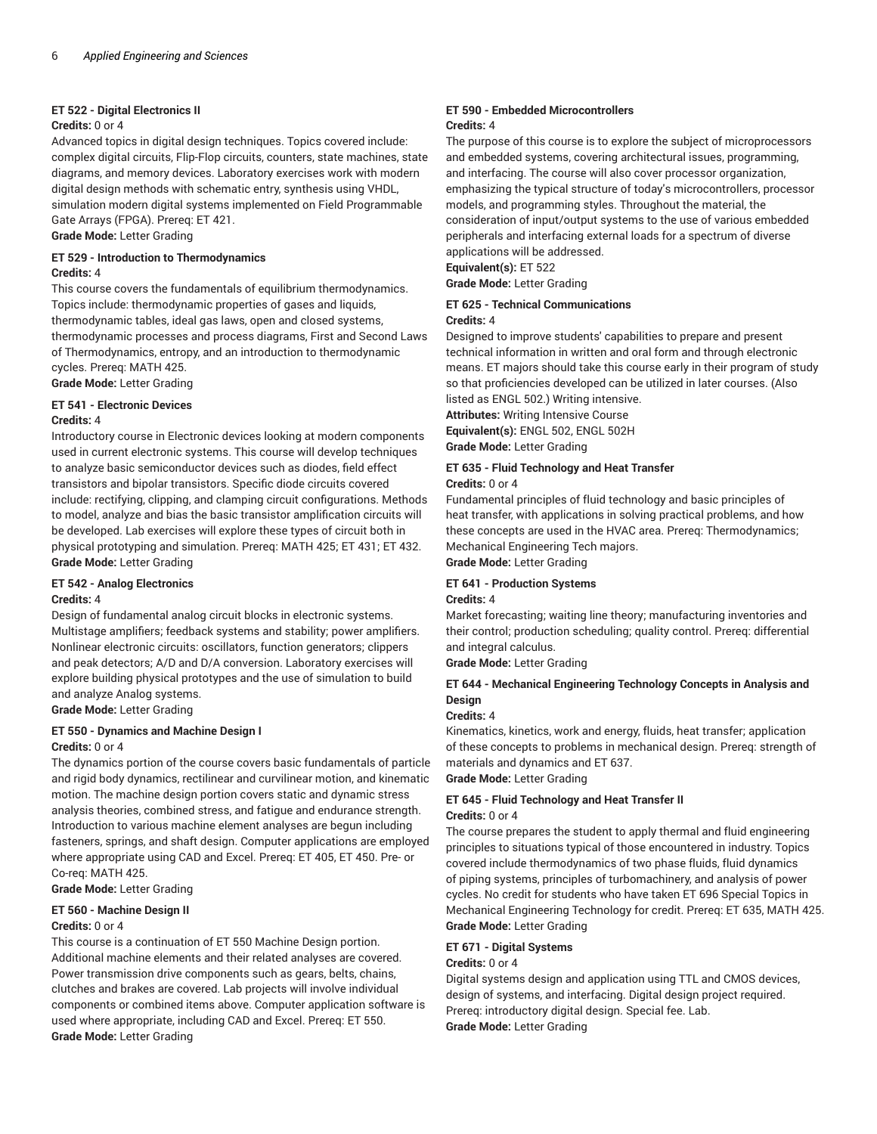#### **ET 522 - Digital Electronics II**

#### **Credits:** 0 or 4

Advanced topics in digital design techniques. Topics covered include: complex digital circuits, Flip-Flop circuits, counters, state machines, state diagrams, and memory devices. Laboratory exercises work with modern digital design methods with schematic entry, synthesis using VHDL, simulation modern digital systems implemented on Field Programmable Gate Arrays (FPGA). Prereq: ET 421.

**Grade Mode:** Letter Grading

#### **ET 529 - Introduction to Thermodynamics Credits:** 4

This course covers the fundamentals of equilibrium thermodynamics. Topics include: thermodynamic properties of gases and liquids, thermodynamic tables, ideal gas laws, open and closed systems, thermodynamic processes and process diagrams, First and Second Laws of Thermodynamics, entropy, and an introduction to thermodynamic cycles. Prereq: MATH 425.

**Grade Mode:** Letter Grading

#### **ET 541 - Electronic Devices**

#### **Credits:** 4

Introductory course in Electronic devices looking at modern components used in current electronic systems. This course will develop techniques to analyze basic semiconductor devices such as diodes, field effect transistors and bipolar transistors. Specific diode circuits covered include: rectifying, clipping, and clamping circuit configurations. Methods to model, analyze and bias the basic transistor amplification circuits will be developed. Lab exercises will explore these types of circuit both in physical prototyping and simulation. Prereq: MATH 425; ET 431; ET 432. **Grade Mode:** Letter Grading

#### **ET 542 - Analog Electronics Credits:** 4

Design of fundamental analog circuit blocks in electronic systems. Multistage amplifiers; feedback systems and stability; power amplifiers. Nonlinear electronic circuits: oscillators, function generators; clippers and peak detectors; A/D and D/A conversion. Laboratory exercises will explore building physical prototypes and the use of simulation to build and analyze Analog systems.

**Grade Mode:** Letter Grading

#### **ET 550 - Dynamics and Machine Design I Credits:** 0 or 4

The dynamics portion of the course covers basic fundamentals of particle and rigid body dynamics, rectilinear and curvilinear motion, and kinematic motion. The machine design portion covers static and dynamic stress analysis theories, combined stress, and fatigue and endurance strength. Introduction to various machine element analyses are begun including fasteners, springs, and shaft design. Computer applications are employed where appropriate using CAD and Excel. Prereq: ET 405, ET 450. Pre- or Co-req: MATH 425.

**Grade Mode:** Letter Grading

#### **ET 560 - Machine Design II**

#### **Credits:** 0 or 4

This course is a continuation of ET 550 Machine Design portion. Additional machine elements and their related analyses are covered. Power transmission drive components such as gears, belts, chains, clutches and brakes are covered. Lab projects will involve individual components or combined items above. Computer application software is used where appropriate, including CAD and Excel. Prereq: ET 550. **Grade Mode:** Letter Grading

#### **ET 590 - Embedded Microcontrollers Credits:** 4

The purpose of this course is to explore the subject of microprocessors and embedded systems, covering architectural issues, programming, and interfacing. The course will also cover processor organization, emphasizing the typical structure of today's microcontrollers, processor models, and programming styles. Throughout the material, the consideration of input/output systems to the use of various embedded peripherals and interfacing external loads for a spectrum of diverse applications will be addressed.

**Equivalent(s):** ET 522

**Grade Mode:** Letter Grading

#### **ET 625 - Technical Communications Credits:** 4

Designed to improve students' capabilities to prepare and present technical information in written and oral form and through electronic means. ET majors should take this course early in their program of study so that proficiencies developed can be utilized in later courses. (Also listed as ENGL 502.) Writing intensive.

**Attributes:** Writing Intensive Course **Equivalent(s):** ENGL 502, ENGL 502H **Grade Mode:** Letter Grading

**ET 635 - Fluid Technology and Heat Transfer**

#### **Credits:** 0 or 4

Fundamental principles of fluid technology and basic principles of heat transfer, with applications in solving practical problems, and how these concepts are used in the HVAC area. Prereq: Thermodynamics; Mechanical Engineering Tech majors.

**Grade Mode:** Letter Grading

#### **ET 641 - Production Systems**

#### **Credits:** 4

Market forecasting; waiting line theory; manufacturing inventories and their control; production scheduling; quality control. Prereq: differential and integral calculus.

**Grade Mode:** Letter Grading

#### **ET 644 - Mechanical Engineering Technology Concepts in Analysis and Design**

#### **Credits:** 4

Kinematics, kinetics, work and energy, fluids, heat transfer; application of these concepts to problems in mechanical design. Prereq: strength of materials and dynamics and ET 637.

**Grade Mode:** Letter Grading

#### **ET 645 - Fluid Technology and Heat Transfer II Credits:** 0 or 4

The course prepares the student to apply thermal and fluid engineering principles to situations typical of those encountered in industry. Topics covered include thermodynamics of two phase fluids, fluid dynamics of piping systems, principles of turbomachinery, and analysis of power cycles. No credit for students who have taken ET 696 Special Topics in Mechanical Engineering Technology for credit. Prereq: ET 635, MATH 425. **Grade Mode:** Letter Grading

#### **ET 671 - Digital Systems**

#### **Credits:** 0 or 4

Digital systems design and application using TTL and CMOS devices, design of systems, and interfacing. Digital design project required. Prereq: introductory digital design. Special fee. Lab. **Grade Mode:** Letter Grading